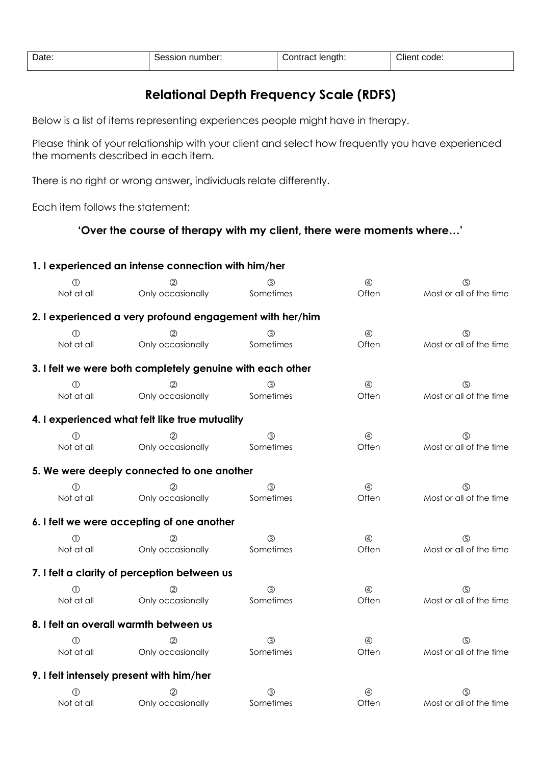| Date.<br>. | number:<br>Sessior | length:<br>:ontract | Cliem<br>code:<br>. |
|------------|--------------------|---------------------|---------------------|

## **Relational Depth Frequency Scale (RDFS)**

Below is a list of items representing experiences people might have in therapy.

Please think of your relationship with your client and select how frequently you have experienced the moments described in each item.

There is no right or wrong answer, individuals relate differently.

Each item follows the statement:

## **'Over the course of therapy with my client, there were moments where…'**

|             | 1. I experienced an intense connection with him/her       |               |               |                         |
|-------------|-----------------------------------------------------------|---------------|---------------|-------------------------|
|             |                                                           |               | $\circledA$   | (5)                     |
| Not at all  | Only occasionally                                         | Sometimes     | Often         | Most or all of the time |
|             | 2. I experienced a very profound engagement with her/him  |               |               |                         |
| $\circled$  |                                                           | (3)           | $\circledA$   | ග                       |
| Not at all  | Only occasionally                                         | Sometimes     | Often         | Most or all of the time |
|             | 3. I felt we were both completely genuine with each other |               |               |                         |
| $\circledD$ |                                                           | (3)           | $\circledA$   | $\circledS$             |
| Not at all  | Only occasionally                                         | Sometimes     | Often         | Most or all of the time |
|             | 4. I experienced what felt like true mutuality            |               |               |                         |
| O           |                                                           | $\circled{3}$ | $\circledA$   | ග                       |
| Not at all  | Only occasionally                                         | Sometimes     | Often         | Most or all of the time |
|             | 5. We were deeply connected to one another                |               |               |                         |
| $\circ$     |                                                           | $\circled{3}$ | $\circledA$   | ග                       |
| Not at all  | Only occasionally                                         | Sometimes     | Often         | Most or all of the time |
|             | 6. I felt we were accepting of one another                |               |               |                         |
| M           |                                                           | $\circled{3}$ | $\circled{4}$ | ග                       |
| Not at all  | Only occasionally                                         | Sometimes     | Often         | Most or all of the time |
|             | 7. I felt a clarity of perception between us              |               |               |                         |
| ⋒           |                                                           | $\circled{3}$ | $\circledA$   | ගි)                     |
| Not at all  | Only occasionally                                         | Sometimes     | Often         | Most or all of the time |
|             | 8. I felt an overall warmth between us                    |               |               |                         |
| M           |                                                           | $\circled{3}$ | $\circled{4}$ | ග                       |
| Not at all  | Only occasionally                                         | Sometimes     | Often         | Most or all of the time |
|             | 9. I felt intensely present with him/her                  |               |               |                         |
| O)          |                                                           | $\circled{3}$ | $\circledA$   | ග                       |
| Not at all  | Only occasionally                                         | Sometimes     | Often         | Most or all of the time |